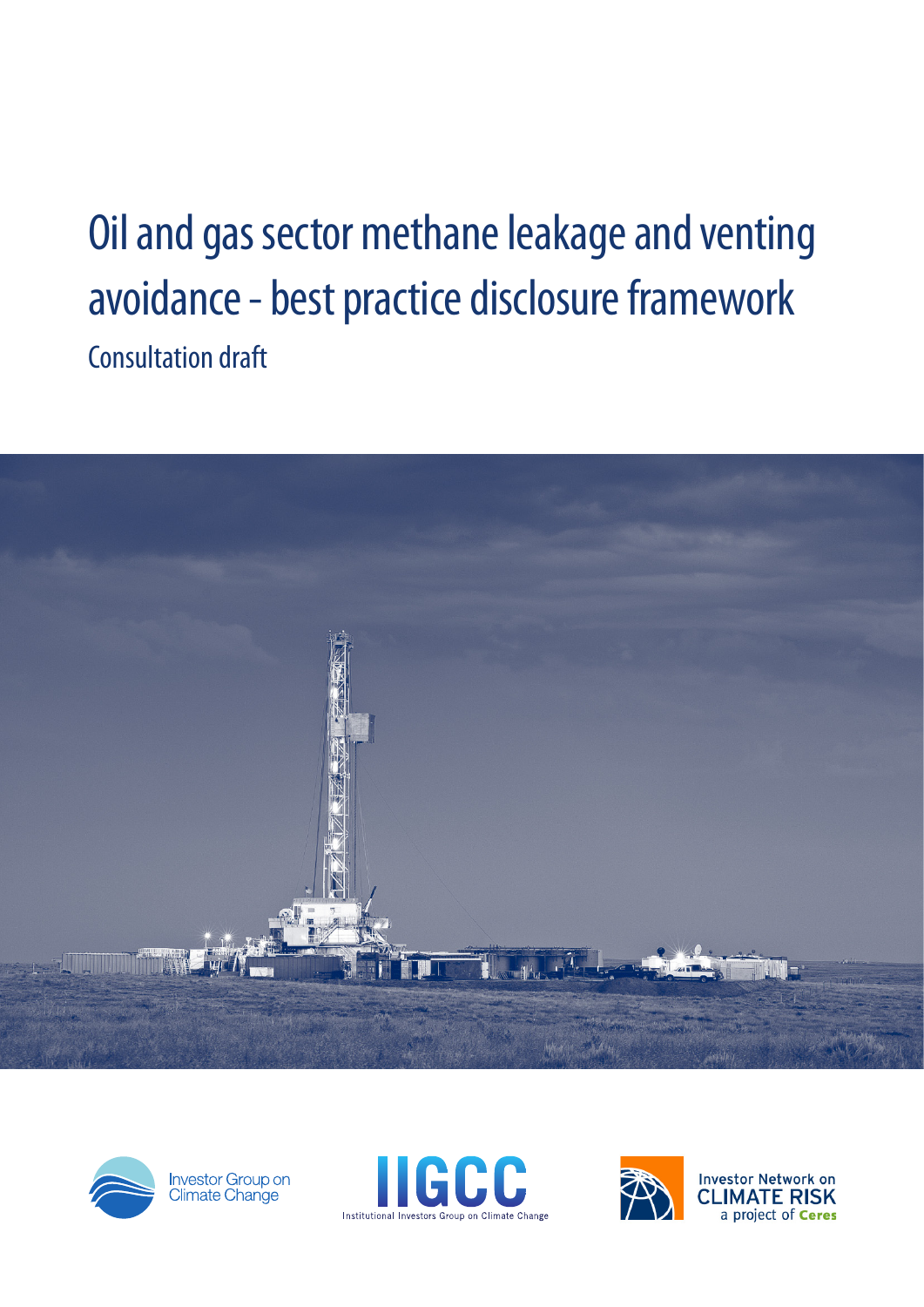# Oil and gas sector methane leakage and venting avoidance - best practice disclosure framework Consultation draft





Investor Group on<br>Climate Change





**Investor Network on CLIMATE RISK** a project of Ceres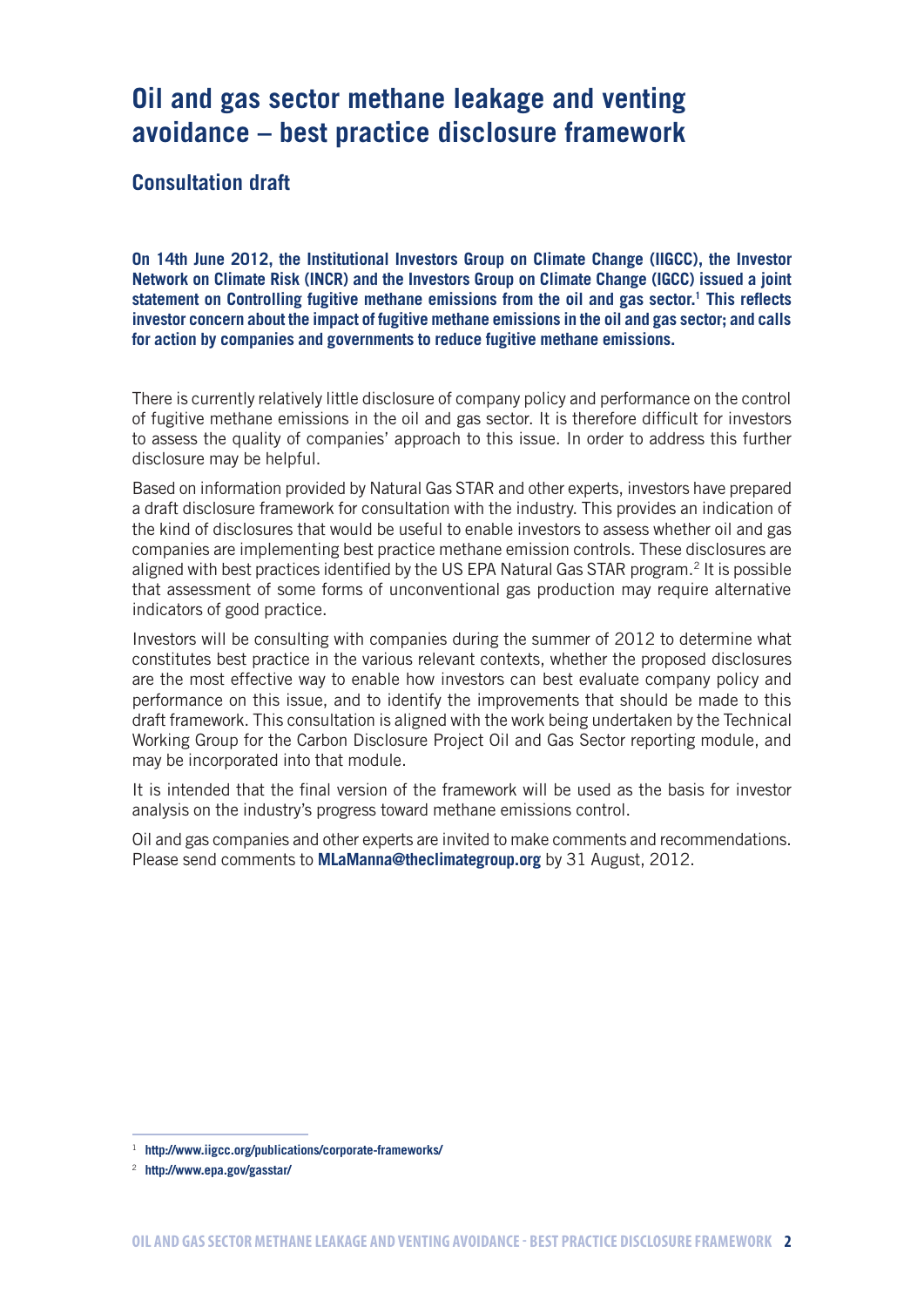# **Oil and gas sector methane leakage and venting avoidance – best practice disclosure framework**

# **Consultation draft**

**On 14th June 2012, the Institutional Investors Group on Climate Change (IIGCC), the Investor Network on Climate Risk (INCR) and the Investors Group on Climate Change (IGCC) issued a joint statement on Controlling fugitive methane emissions from the oil and gas sector.1 This reflects investor concern about the impact of fugitive methane emissions in the oil and gas sector; and calls for action by companies and governments to reduce fugitive methane emissions.** 

There is currently relatively little disclosure of company policy and performance on the control of fugitive methane emissions in the oil and gas sector. It is therefore difficult for investors to assess the quality of companies' approach to this issue. In order to address this further disclosure may be helpful.

Based on information provided by Natural Gas STAR and other experts, investors have prepared a draft disclosure framework for consultation with the industry. This provides an indication of the kind of disclosures that would be useful to enable investors to assess whether oil and gas companies are implementing best practice methane emission controls. These disclosures are aligned with best practices identified by the US EPA Natural Gas STAR program.<sup>2</sup> It is possible that assessment of some forms of unconventional gas production may require alternative indicators of good practice.

Investors will be consulting with companies during the summer of 2012 to determine what constitutes best practice in the various relevant contexts, whether the proposed disclosures are the most effective way to enable how investors can best evaluate company policy and performance on this issue, and to identify the improvements that should be made to this draft framework. This consultation is aligned with the work being undertaken by the Technical Working Group for the Carbon Disclosure Project Oil and Gas Sector reporting module, and may be incorporated into that module.

It is intended that the final version of the framework will be used as the basis for investor analysis on the industry's progress toward methane emissions control.

Oil and gas companies and other experts are invited to make comments and recommendations. Please send comments to **[MLaManna@theclimategroup.org](mailto:MLaManna@theclimategroup.org)** by 31 August, 2012.

<sup>1</sup> **http://www.iigcc.org/publications/corporate-frameworks/**

<sup>2</sup> **<http://www.epa.gov/gasstar/>**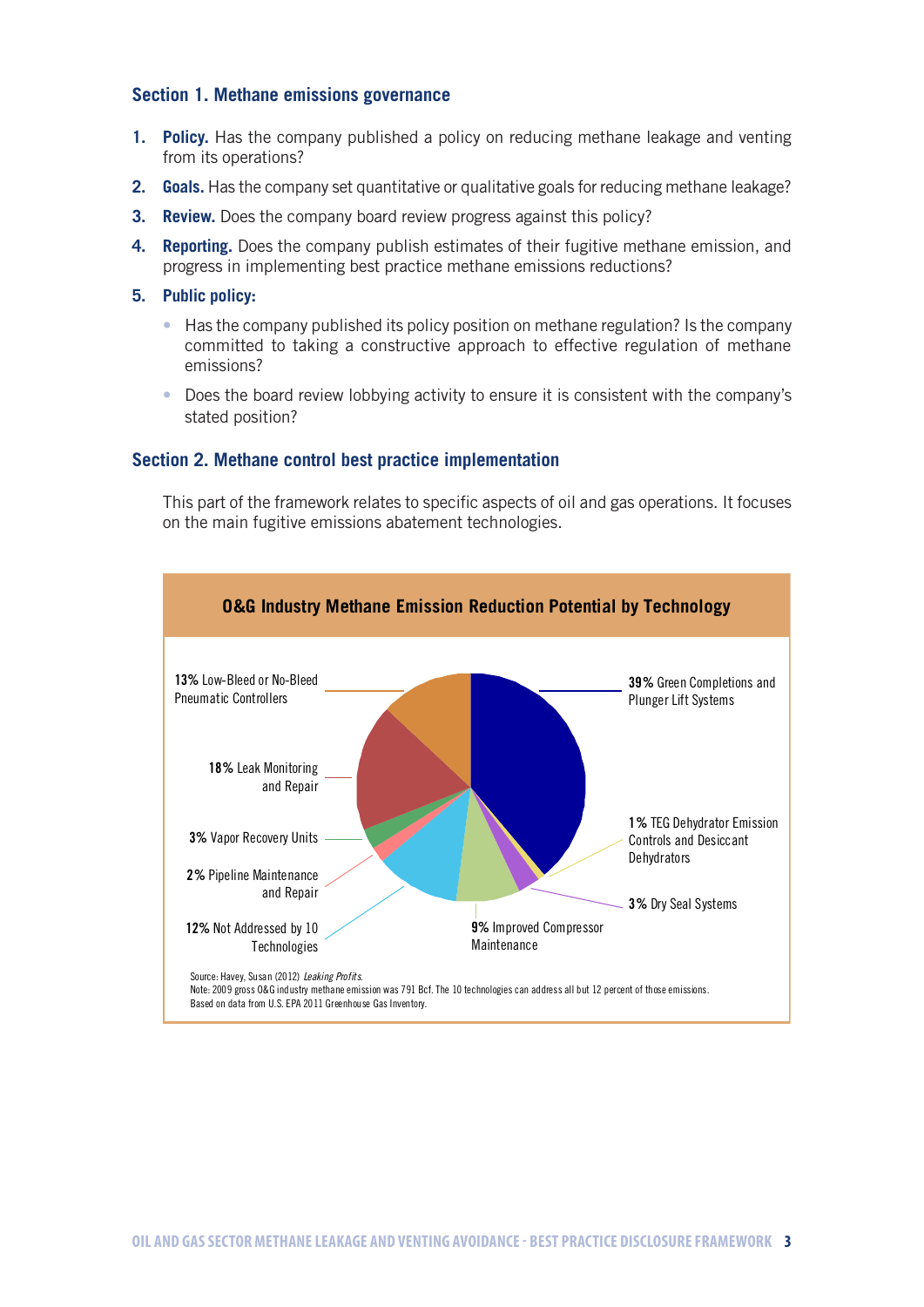# **Section 1. Methane emissions governance**

- **1. Policy.** Has the company published a policy on reducing methane leakage and venting from its operations?
- **2. Goals.** Has the company set quantitative or qualitative goals for reducing methane leakage?
- **3. Review.** Does the company board review progress against this policy?
- **4. Reporting.** Does the company publish estimates of their fugitive methane emission, and progress in implementing best practice methane emissions reductions?
- **5. Public policy:**
	- Has the company published its policy position on methane regulation? Is the company committed to taking a constructive approach to effective regulation of methane emissions?
	- Does the board review lobbying activity to ensure it is consistent with the company's stated position?

# **Section 2. Methane control best practice implementation**

This part of the framework relates to specific aspects of oil and gas operations. It focuses on the main fugitive emissions abatement technologies.

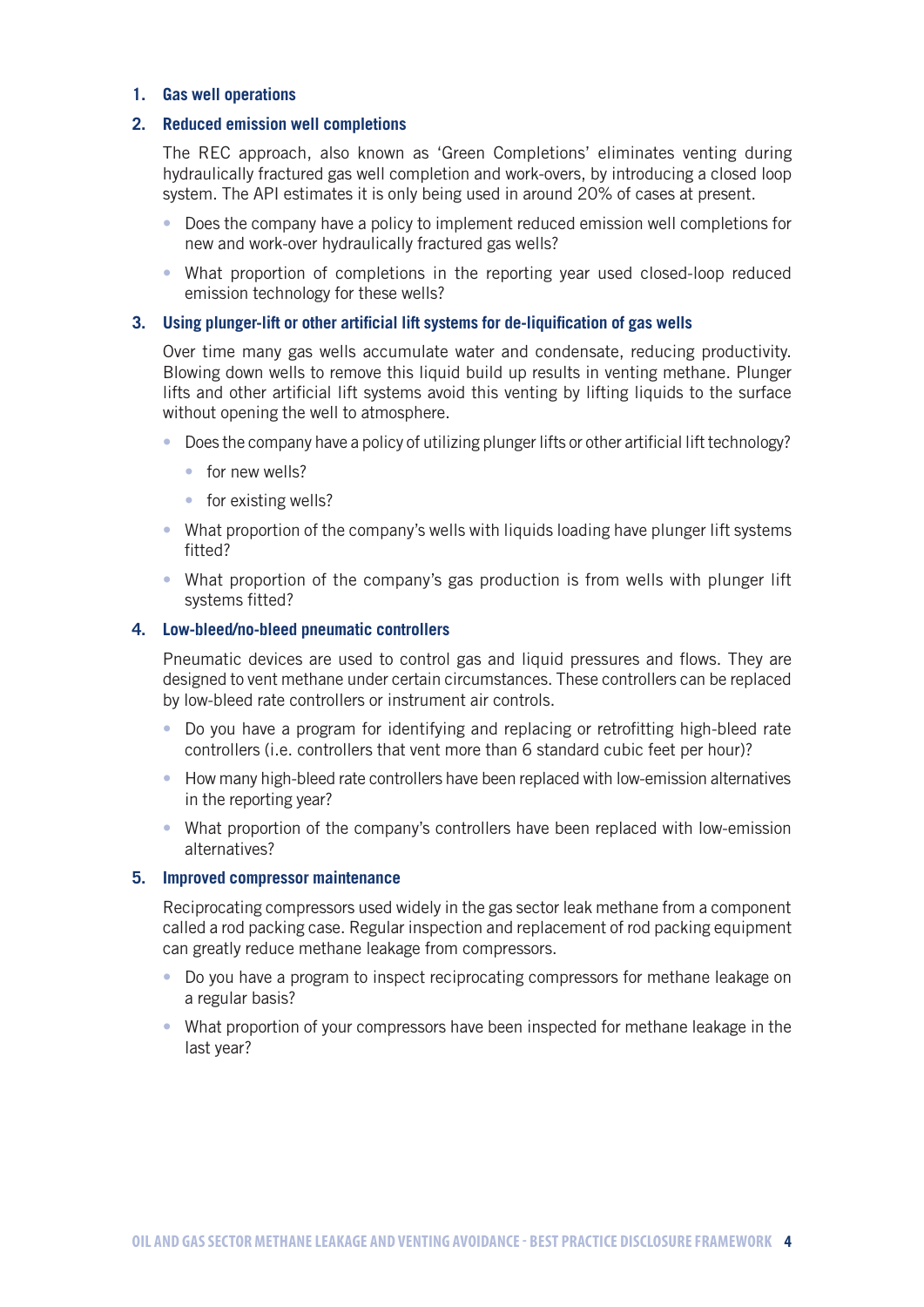# **1. Gas well operations**

# **2. Reduced emission well completions**

The REC approach, also known as 'Green Completions' eliminates venting during hydraulically fractured gas well completion and work-overs, by introducing a closed loop system. The API estimates it is only being used in around 20% of cases at present.

- Does the company have a policy to implement reduced emission well completions for new and work-over hydraulically fractured gas wells?
- What proportion of completions in the reporting year used closed-loop reduced emission technology for these wells?

#### **3. Using plunger-lift or other artificial lift systems for de-liquification of gas wells**

Over time many gas wells accumulate water and condensate, reducing productivity. Blowing down wells to remove this liquid build up results in venting methane. Plunger lifts and other artificial lift systems avoid this venting by lifting liquids to the surface without opening the well to atmosphere.

- Does the company have a policy of utilizing plunger lifts or other artificial lift technology?
	- for new wells?
	- for existing wells?
- What proportion of the company's wells with liquids loading have plunger lift systems fitted?
- What proportion of the company's gas production is from wells with plunger lift systems fitted?

# **4. Low-bleed/no-bleed pneumatic controllers**

Pneumatic devices are used to control gas and liquid pressures and flows. They are designed to vent methane under certain circumstances. These controllers can be replaced by low-bleed rate controllers or instrument air controls.

- Do you have a program for identifying and replacing or retrofitting high-bleed rate controllers (i.e. controllers that vent more than 6 standard cubic feet per hour)?
- How many high-bleed rate controllers have been replaced with low-emission alternatives in the reporting year?
- What proportion of the company's controllers have been replaced with low-emission alternatives?

# **5. Improved compressor maintenance**

Reciprocating compressors used widely in the gas sector leak methane from a component called a rod packing case. Regular inspection and replacement of rod packing equipment can greatly reduce methane leakage from compressors.

- Do you have a program to inspect reciprocating compressors for methane leakage on a regular basis?
- What proportion of your compressors have been inspected for methane leakage in the last year?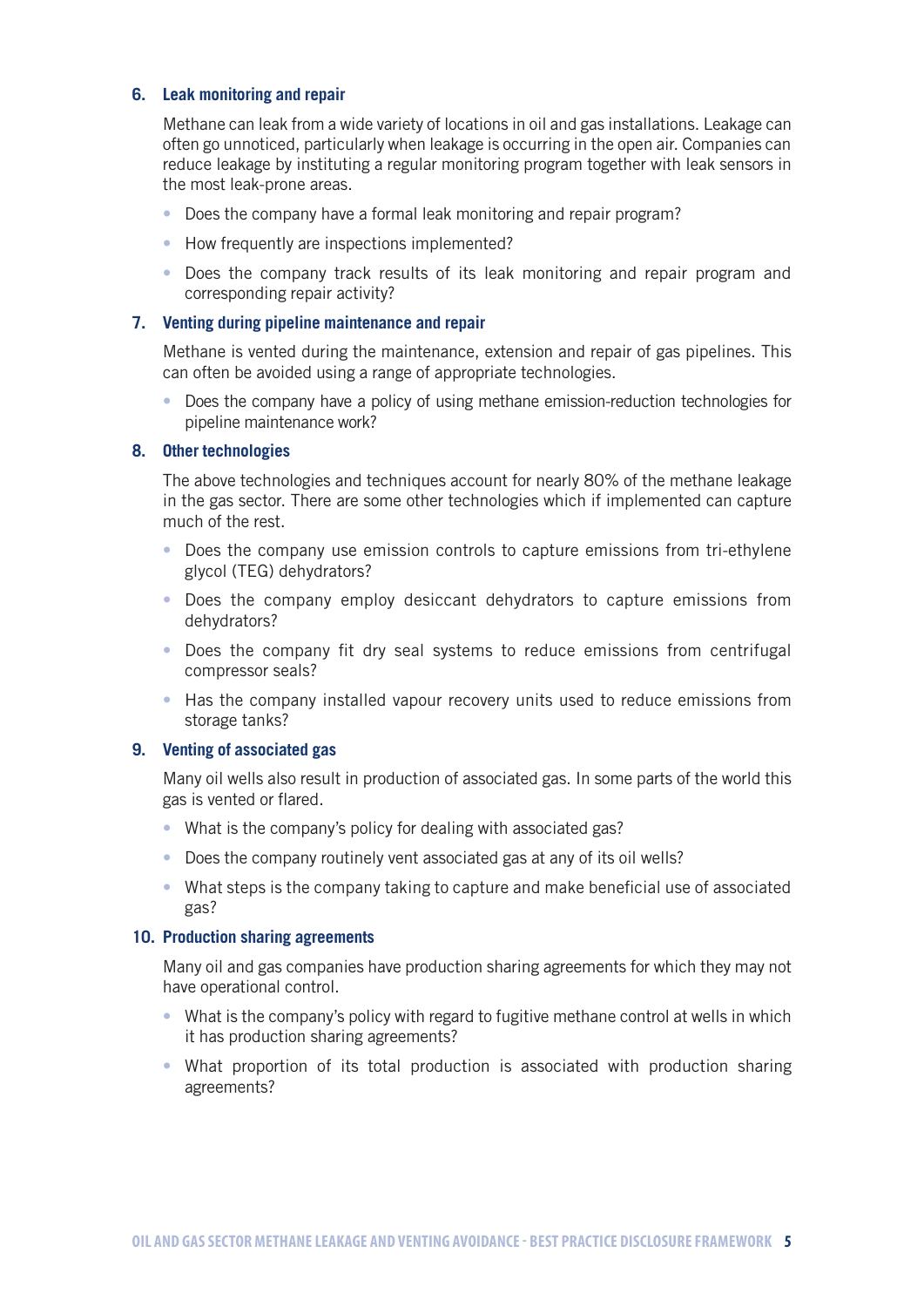# **6. Leak monitoring and repair**

Methane can leak from a wide variety of locations in oil and gas installations. Leakage can often go unnoticed, particularly when leakage is occurring in the open air. Companies can reduce leakage by instituting a regular monitoring program together with leak sensors in the most leak-prone areas.

- Does the company have a formal leak monitoring and repair program?
- How frequently are inspections implemented?
- Does the company track results of its leak monitoring and repair program and corresponding repair activity?

# **7. Venting during pipeline maintenance and repair**

Methane is vented during the maintenance, extension and repair of gas pipelines. This can often be avoided using a range of appropriate technologies.

• Does the company have a policy of using methane emission-reduction technologies for pipeline maintenance work?

# **8. Other technologies**

The above technologies and techniques account for nearly 80% of the methane leakage in the gas sector. There are some other technologies which if implemented can capture much of the rest.

- Does the company use emission controls to capture emissions from tri-ethylene glycol (TEG) dehydrators?
- Does the company employ desiccant dehydrators to capture emissions from dehydrators?
- Does the company fit dry seal systems to reduce emissions from centrifugal compressor seals?
- Has the company installed vapour recovery units used to reduce emissions from storage tanks?

# **9. Venting of associated gas**

Many oil wells also result in production of associated gas. In some parts of the world this gas is vented or flared.

- What is the company's policy for dealing with associated gas?
- Does the company routinely vent associated gas at any of its oil wells?
- What steps is the company taking to capture and make beneficial use of associated gas?

#### **10. Production sharing agreements**

Many oil and gas companies have production sharing agreements for which they may not have operational control.

- What is the company's policy with regard to fugitive methane control at wells in which it has production sharing agreements?
- What proportion of its total production is associated with production sharing agreements?